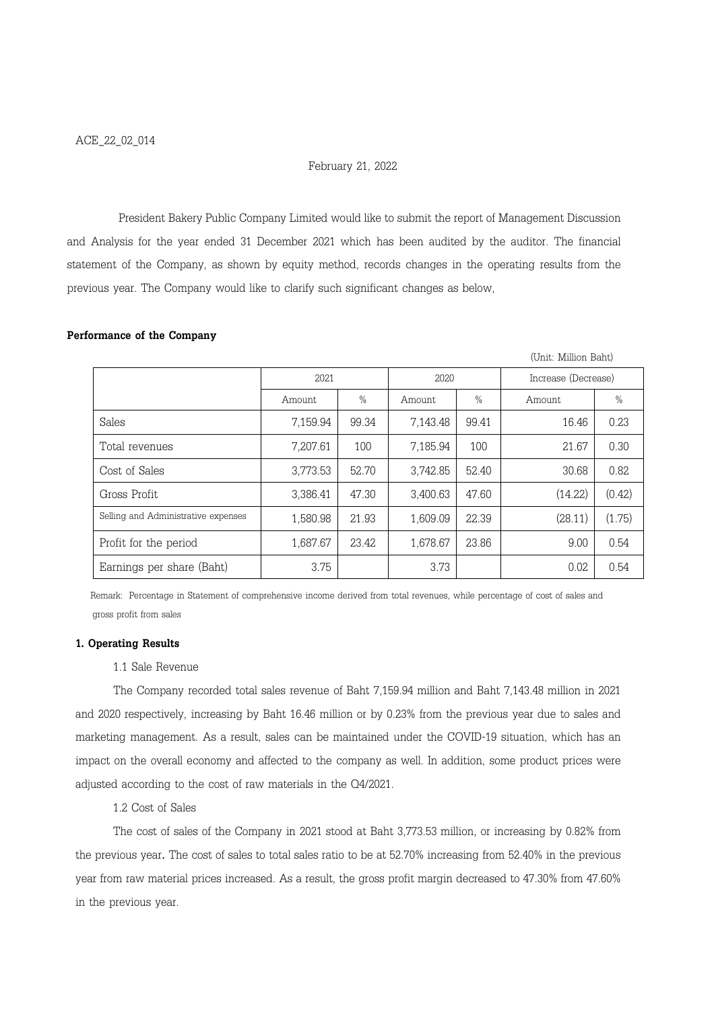### February 21, 2022

President Bakery Public Company Limited would like to submit the report of Management Discussion and Analysis for the year ended 31 December 2021 which has been audited by the auditor. The financial statement of the Company, as shown by equity method, records changes in the operating results from the previous year. The Company would like to clarify such significant changes as below,

|                                     |          |       |          |       | (Unit: Million Baht) |        |
|-------------------------------------|----------|-------|----------|-------|----------------------|--------|
|                                     | 2021     |       | 2020     |       | Increase (Decrease)  |        |
|                                     | Amount   | $\%$  | Amount   | $\%$  | Amount               | $\%$   |
| Sales                               | 7,159.94 | 99.34 | 7,143.48 | 99.41 | 16.46                | 0.23   |
| Total revenues                      | 7,207.61 | 100   | 7,185.94 | 100   | 21.67                | 0.30   |
| Cost of Sales                       | 3,773.53 | 52.70 | 3,742.85 | 52.40 | 30.68                | 0.82   |
| Gross Profit                        | 3,386.41 | 47.30 | 3,400.63 | 47.60 | (14.22)              | (0.42) |
| Selling and Administrative expenses | 1,580.98 | 21.93 | 1,609.09 | 22.39 | (28.11)              | (1.75) |
| Profit for the period               | 1,687.67 | 23.42 | 1,678.67 | 23.86 | 9.00                 | 0.54   |
| Earnings per share (Baht)           | 3.75     |       | 3.73     |       | 0.02                 | 0.54   |

# Performance of the Company

 Remark: Percentage in Statement of comprehensive income derived from total revenues, while percentage of cost of sales and gross profit from sales

#### 1. Operating Results

#### 1.1 Sale Revenue

The Company recorded total sales revenue of Baht 7,159.94 million and Baht 7,143.48 million in 2021 and 2020 respectively, increasing by Baht 16.46 million or by 0.23% from the previous year due to sales and marketing management. As a result, sales can be maintained under the COVID-19 situation, which has an impact on the overall economy and affected to the company as well. In addition, some product prices were adjusted according to the cost of raw materials in the Q4/2021.

## 1.2 Cost of Sales

The cost of sales of the Company in 2021 stood at Baht 3,773.53 million, or increasing by 0.82% from the previous year. The cost of sales to total sales ratio to be at 52.70% increasing from 52.40% in the previous year from raw material prices increased. As a result, the gross profit margin decreased to 47.30% from 47.60% in the previous year.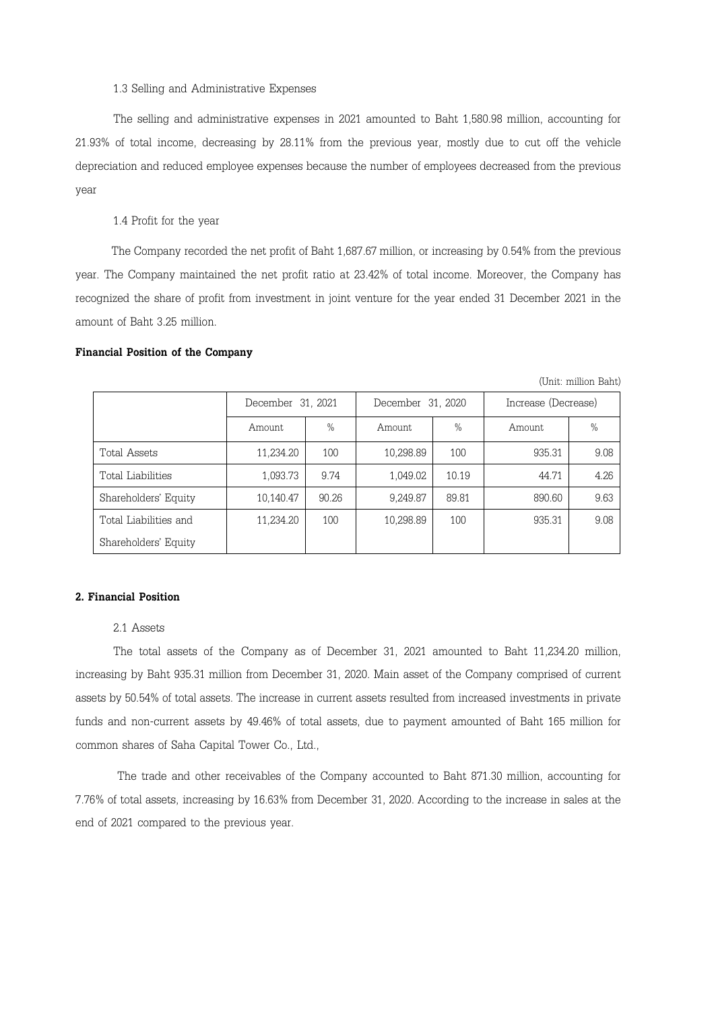1.3 Selling and Administrative Expenses

The selling and administrative expenses in 2021 amounted to Baht 1,580.98 million, accounting for 21.93% of total income, decreasing by 28.11% from the previous year, mostly due to cut off the vehicle depreciation and reduced employee expenses because the number of employees decreased from the previous year

1.4 Profit for the year

 The Company recorded the net profit of Baht 1,687.67 million, or increasing by 0.54% from the previous year. The Company maintained the net profit ratio at 23.42% of total income. Moreover, the Company has recognized the share of profit from investment in joint venture for the year ended 31 December 2021 in the amount of Baht 3.25 million.

#### Financial Position of the Company

| (Unit: million Baht)  |                   |               |                   |               |                     |      |  |  |  |  |
|-----------------------|-------------------|---------------|-------------------|---------------|---------------------|------|--|--|--|--|
|                       | December 31, 2021 |               | December 31, 2020 |               | Increase (Decrease) |      |  |  |  |  |
|                       | Amount.           | $\frac{0}{0}$ | Amount            | $\frac{0}{0}$ | Amount              | $\%$ |  |  |  |  |
| Total Assets          | 11,234.20         | 100           | 10,298.89         | 100           | 935.31              | 9.08 |  |  |  |  |
| Total Liabilities     | 1,093.73          | 9.74          | 1,049.02          | 10.19         | 44.71               | 4.26 |  |  |  |  |
| Shareholders' Equity  | 10,140.47         | 90.26         | 9,249.87          | 89.81         | 890.60              | 9.63 |  |  |  |  |
| Total Liabilities and | 11,234.20         | 100           | 10,298.89         | 100           | 935.31              | 9.08 |  |  |  |  |
| Shareholders' Equity  |                   |               |                   |               |                     |      |  |  |  |  |

2. Financial Position

## 2.1 Assets

The total assets of the Company as of December 31, 2021 amounted to Baht 11,234.20 million, increasing by Baht 935.31 million from December 31, 2020. Main asset of the Company comprised of current assets by 50.54% of total assets. The increase in current assets resulted from increased investments in private funds and non-current assets by 49.46% of total assets, due to payment amounted of Baht 165 million for common shares of Saha Capital Tower Co., Ltd.,

 The trade and other receivables of the Company accounted to Baht 871.30 million, accounting for 7.76% of total assets, increasing by 16.63% from December 31, 2020. According to the increase in sales at the end of 2021 compared to the previous year.